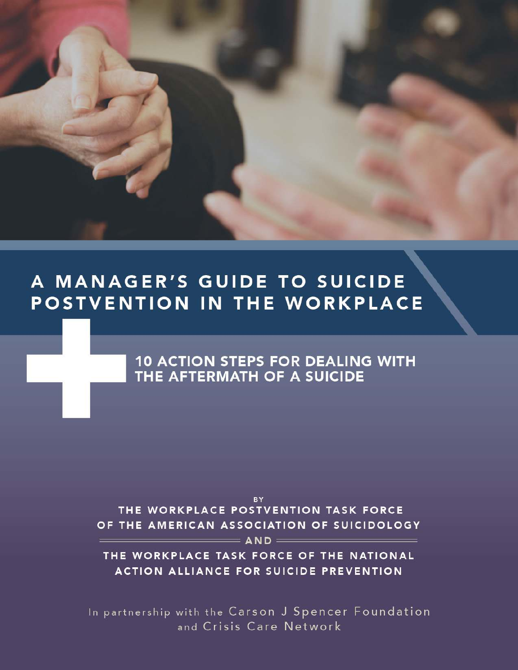# A MANAGER'S GUIDE TO SUICIDE POSTVENTION IN THE WORKPLACE

**10 ACTION STEPS FOR DEALING WITH** THE AFTERMATH OF A SUICIDE

**BY** THE WORKPLACE POSTVENTION TASK FORCE OF THE AMERICAN ASSOCIATION OF SUICIDOLOGY

 $=$  and  $=$ 

THE WORKPLACE TASK FORCE OF THE NATIONAL **ACTION ALLIANCE FOR SUICIDE PREVENTION** 

In partnership with the Carson J Spencer Foundation and Crisis Care Network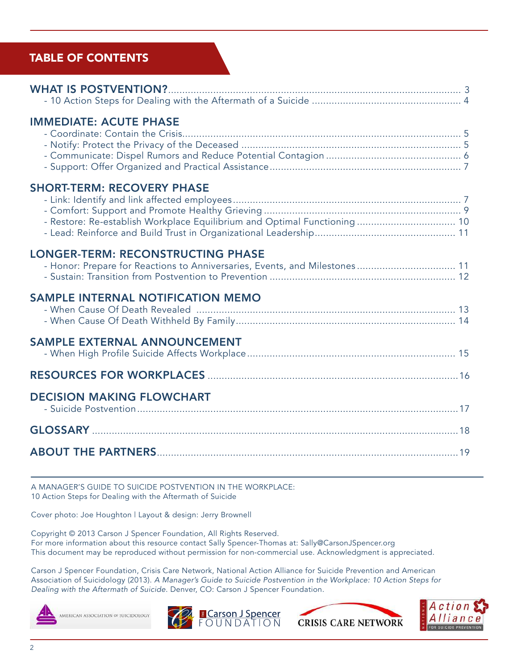### TABLE OF CONTENTS

| <b>IMMEDIATE: ACUTE PHASE</b>                                                                                          |  |
|------------------------------------------------------------------------------------------------------------------------|--|
| <b>SHORT-TERM: RECOVERY PHASE</b><br>- Restore: Re-establish Workplace Equilibrium and Optimal Functioning 10          |  |
| <b>LONGER-TERM: RECONSTRUCTING PHASE</b><br>- Honor: Prepare for Reactions to Anniversaries, Events, and Milestones 11 |  |
| <b>SAMPLE INTERNAL NOTIFICATION MEMO</b>                                                                               |  |
| <b>SAMPLE EXTERNAL ANNOUNCEMENT</b>                                                                                    |  |
|                                                                                                                        |  |
| <b>DECISION MAKING FLOWCHART</b>                                                                                       |  |
|                                                                                                                        |  |
|                                                                                                                        |  |
|                                                                                                                        |  |

A MANAGER'S GUIDE TO SUICIDE POSTVENTION IN THE WORKPLACE: 10 Action Steps for Dealing with the Aftermath of Suicide

Cover photo: Joe Houghton | Layout & design: Jerry Brownell

Copyright © 2013 Carson J Spencer Foundation, All Rights Reserved. For more information about this resource contact Sally Spencer-Thomas at: Sally@CarsonJSpencer.org This document may be reproduced without permission for non-commercial use. Acknowledgment is appreciated.

Carson J Spencer Foundation, Crisis Care Network, National Action Alliance for Suicide Prevention and American Association of Suicidology (2013). A Manager's Guide to Suicide Postvention in the Workplace: 10 Action Steps for Dealing with the Aftermath of Suicide. Denver, CO: Carson J Spencer Foundation.







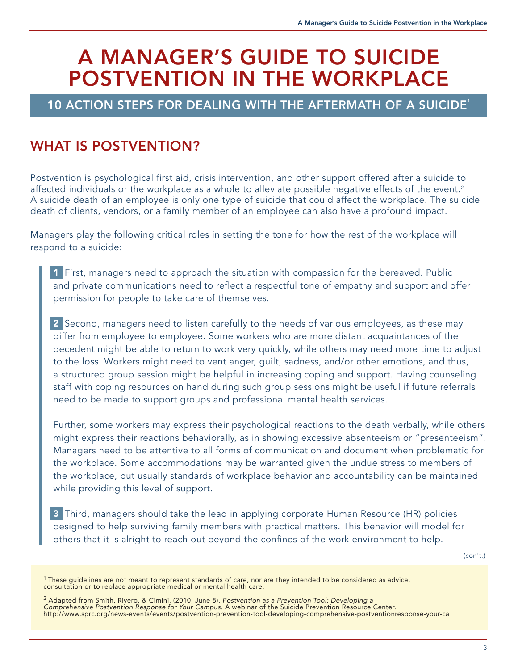# A MANAGER'S GUIDE TO SUICIDE POSTVENTION IN THE WORKPLACE

### 10 ACTION STEPS FOR DEALING WITH THE AFTERMATH OF A SUICIDE<sup>1</sup>

# WHAT IS POSTVENTION?

Postvention is psychological first aid, crisis intervention, and other support offered after a suicide to affected individuals or the workplace as a whole to alleviate possible negative effects of the event.<sup>2</sup> A suicide death of an employee is only one type of suicide that could affect the workplace. The suicide death of clients, vendors, or a family member of an employee can also have a profound impact.

Managers play the following critical roles in setting the tone for how the rest of the workplace will respond to a suicide:

1 First, managers need to approach the situation with compassion for the bereaved. Public and private communications need to reflect a respectful tone of empathy and support and offer permission for people to take care of themselves.

2 Second, managers need to listen carefully to the needs of various employees, as these may differ from employee to employee. Some workers who are more distant acquaintances of the decedent might be able to return to work very quickly, while others may need more time to adjust to the loss. Workers might need to vent anger, guilt, sadness, and/or other emotions, and thus, a structured group session might be helpful in increasing coping and support. Having counseling staff with coping resources on hand during such group sessions might be useful if future referrals need to be made to support groups and professional mental health services.

Further, some workers may express their psychological reactions to the death verbally, while others might express their reactions behaviorally, as in showing excessive absenteeism or "presenteeism". Managers need to be attentive to all forms of communication and document when problematic for the workplace. Some accommodations may be warranted given the undue stress to members of the workplace, but usually standards of workplace behavior and accountability can be maintained while providing this level of support.

3 Third, managers should take the lead in applying corporate Human Resource (HR) policies designed to help surviving family members with practical matters. This behavior will model for others that it is alright to reach out beyond the confines of the work environment to help.

(con't.)

 $^1$ These guidelines are not meant to represent standards of care, nor are they intended to be considered as advice, consultation or to replace appropriate medical or mental health care.

<sup>&</sup>lt;sup>2</sup> Adapted from Smith, Rivero, & Cimini. (2010, June 8). Postvention as a Prevention Tool: Developing a Comprehensive Postvention Response for Your Campus. A webinar of the Suicide Prevention Resource Center. http://www.sprc.org/news-events/events/postvention-prevention-tool-developing-comprehensive-postventionresponse-your-ca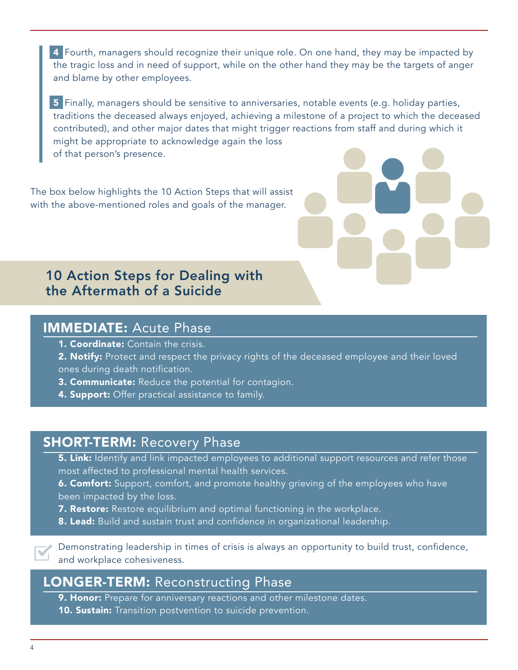4 Fourth, managers should recognize their unique role. On one hand, they may be impacted by the tragic loss and in need of support, while on the other hand they may be the targets of anger and blame by other employees.

5 Finally, managers should be sensitive to anniversaries, notable events (e.g. holiday parties, traditions the deceased always enjoyed, achieving a milestone of a project to which the deceased contributed), and other major dates that might trigger reactions from staff and during which it might be appropriate to acknowledge again the loss of that person's presence.

The box below highlights the 10 Action Steps that will assist with the above-mentioned roles and goals of the manager.



### IMMEDIATE: Acute Phase

- **1. Coordinate:** Contain the crisis.
- 2. Notify: Protect and respect the privacy rights of the deceased employee and their loved ones during death notification.
- **3. Communicate:** Reduce the potential for contagion.
- 4. Support: Offer practical assistance to family.

# **SHORT-TERM: Recovery Phase**

**5. Link:** Identify and link impacted employees to additional support resources and refer those most affected to professional mental health services.

**6. Comfort:** Support, comfort, and promote healthy grieving of the employees who have been impacted by the loss.

**7. Restore:** Restore equilibrium and optimal functioning in the workplace.

8. Lead: Build and sustain trust and confidence in organizational leadership.



Demonstrating leadership in times of crisis is always an opportunity to build trust, confidence, and workplace cohesiveness.

### LONGER-TERM: Reconstructing Phase

**9. Honor:** Prepare for anniversary reactions and other milestone dates.

**10. Sustain:** Transition postvention to suicide prevention.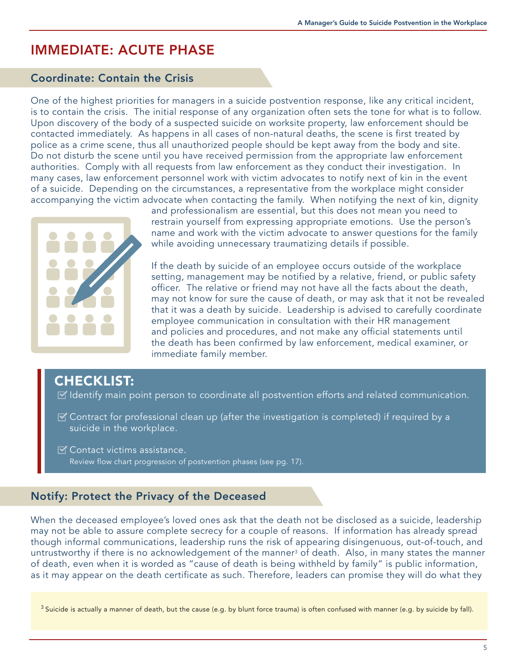# IMMEDIATE: ACUTE PHASE

#### Coordinate: Contain the Crisis

One of the highest priorities for managers in a suicide postvention response, like any critical incident, is to contain the crisis. The initial response of any organization often sets the tone for what is to follow. Upon discovery of the body of a suspected suicide on worksite property, law enforcement should be contacted immediately. As happens in all cases of non-natural deaths, the scene is first treated by police as a crime scene, thus all unauthorized people should be kept away from the body and site. Do not disturb the scene until you have received permission from the appropriate law enforcement authorities. Comply with all requests from law enforcement as they conduct their investigation. In many cases, law enforcement personnel work with victim advocates to notify next of kin in the event of a suicide. Depending on the circumstances, a representative from the workplace might consider accompanying the victim advocate when contacting the family. When notifying the next of kin, dignity



and professionalism are essential, but this does not mean you need to restrain yourself from expressing appropriate emotions. Use the person's name and work with the victim advocate to answer questions for the family while avoiding unnecessary traumatizing details if possible.

If the death by suicide of an employee occurs outside of the workplace setting, management may be notified by a relative, friend, or public safety officer. The relative or friend may not have all the facts about the death, may not know for sure the cause of death, or may ask that it not be revealed that it was a death by suicide. Leadership is advised to carefully coordinate employee communication in consultation with their HR management and policies and procedures, and not make any official statements until the death has been confirmed by law enforcement, medical examiner, or immediate family member.

### CHECKLIST:

■ Identify main point person to coordinate all postvention efforts and related communication.

- $\mathbb Z$  Contract for professional clean up (after the investigation is completed) if required by a suicide in the workplace.
- $\mathbb Z$  Contact victims assistance. Review flow chart progression of postvention phases (see pg. 17).

### Notify: Protect the Privacy of the Deceased

When the deceased employee's loved ones ask that the death not be disclosed as a suicide, leadership may not be able to assure complete secrecy for a couple of reasons. If information has already spread though informal communications, leadership runs the risk of appearing disingenuous, out-of-touch, and untrustworthy if there is no acknowledgement of the manner<sup>3</sup> of death. Also, in many states the manner of death, even when it is worded as "cause of death is being withheld by family" is public information, as it may appear on the death certificate as such. Therefore, leaders can promise they will do what they

 $3$  Suicide is actually a manner of death, but the cause (e.g. by blunt force trauma) is often confused with manner (e.g. by suicide by fall).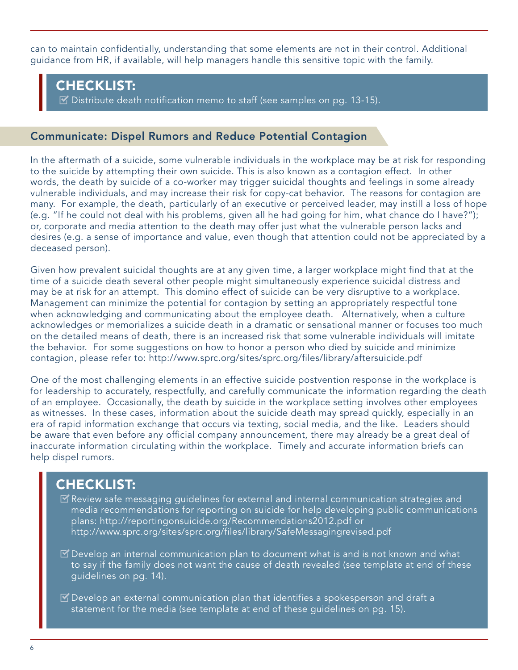can to maintain confidentially, understanding that some elements are not in their control. Additional guidance from HR, if available, will help managers handle this sensitive topic with the family.

### CHECKLIST:

 $\boxtimes$  Distribute death notification memo to staff (see samples on pg. 13-15).

#### Communicate: Dispel Rumors and Reduce Potential Contagion

In the aftermath of a suicide, some vulnerable individuals in the workplace may be at risk for responding to the suicide by attempting their own suicide. This is also known as a contagion effect. In other words, the death by suicide of a co-worker may trigger suicidal thoughts and feelings in some already vulnerable individuals, and may increase their risk for copy-cat behavior. The reasons for contagion are many. For example, the death, particularly of an executive or perceived leader, may instill a loss of hope (e.g. "If he could not deal with his problems, given all he had going for him, what chance do I have?"); or, corporate and media attention to the death may offer just what the vulnerable person lacks and desires (e.g. a sense of importance and value, even though that attention could not be appreciated by a deceased person).

Given how prevalent suicidal thoughts are at any given time, a larger workplace might find that at the time of a suicide death several other people might simultaneously experience suicidal distress and may be at risk for an attempt. This domino effect of suicide can be very disruptive to a workplace. Management can minimize the potential for contagion by setting an appropriately respectful tone when acknowledging and communicating about the employee death. Alternatively, when a culture acknowledges or memorializes a suicide death in a dramatic or sensational manner or focuses too much on the detailed means of death, there is an increased risk that some vulnerable individuals will imitate the behavior. For some suggestions on how to honor a person who died by suicide and minimize contagion, please refer to: http://www.sprc.org/sites/sprc.org/files/library/aftersuicide.pdf

One of the most challenging elements in an effective suicide postvention response in the workplace is for leadership to accurately, respectfully, and carefully communicate the information regarding the death of an employee. Occasionally, the death by suicide in the workplace setting involves other employees as witnesses. In these cases, information about the suicide death may spread quickly, especially in an era of rapid information exchange that occurs via texting, social media, and the like. Leaders should be aware that even before any official company announcement, there may already be a great deal of inaccurate information circulating within the workplace. Timely and accurate information briefs can help dispel rumors.

## CHECKLIST:

- **Review safe messaging guidelines for external and internal communication strategies and** media recommendations for reporting on suicide for help developing public communications plans: http://reportingonsuicide.org/Recommendations2012.pdf or http://www.sprc.org/sites/sprc.org/files/library/SafeMessagingrevised.pdf
- $\mathbb Z$  Develop an internal communication plan to document what is and is not known and what to say if the family does not want the cause of death revealed (see template at end of these guidelines on pg. 14).
- $\mathbb Z$  Develop an external communication plan that identifies a spokesperson and draft a statement for the media (see template at end of these guidelines on pg. 15).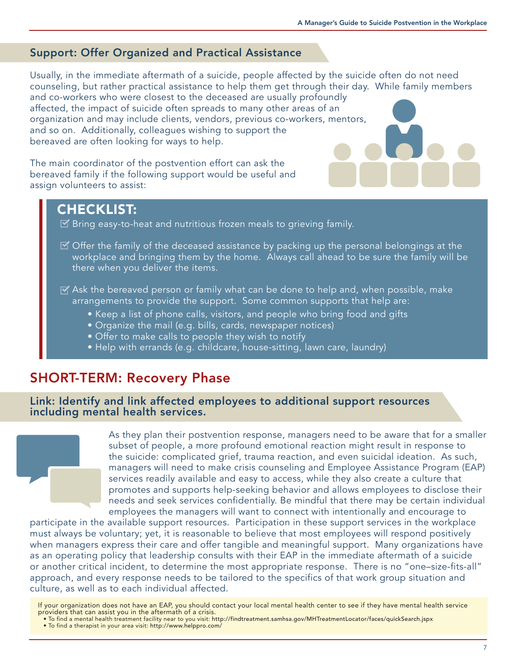### Support: Offer Organized and Practical Assistance

Usually, in the immediate aftermath of a suicide, people affected by the suicide often do not need counseling, but rather practical assistance to help them get through their day. While family members and co-workers who were closest to the deceased are usually profoundly

affected, the impact of suicide often spreads to many other areas of an organization and may include clients, vendors, previous co-workers, mentors, and so on. Additionally, colleagues wishing to support the bereaved are often looking for ways to help.

The main coordinator of the postvention effort can ask the bereaved family if the following support would be useful and assign volunteers to assist:

### CHECKLIST:

- $\mathbb E$  Bring easy-to-heat and nutritious frozen meals to grieving family.
- $\mathbb Z$  Offer the family of the deceased assistance by packing up the personal belongings at the workplace and bringing them by the home. Always call ahead to be sure the family will be there when you deliver the items.
- $\triangledown$  Ask the bereaved person or family what can be done to help and, when possible, make arrangements to provide the support. Some common supports that help are:
	- Keep a list of phone calls, visitors, and people who bring food and gifts
	- Organize the mail (e.g. bills, cards, newspaper notices)
	- Offer to make calls to people they wish to notify
	- Help with errands (e.g. childcare, house-sitting, lawn care, laundry)

### SHORT-TERM: Recovery Phase

Link: Identify and link affected employees to additional support resources including mental health services.



As they plan their postvention response, managers need to be aware that for a smaller subset of people, a more profound emotional reaction might result in response to the suicide: complicated grief, trauma reaction, and even suicidal ideation. As such, managers will need to make crisis counseling and Employee Assistance Program (EAP) services readily available and easy to access, while they also create a culture that promotes and supports help-seeking behavior and allows employees to disclose their needs and seek services confidentially. Be mindful that there may be certain individual employees the managers will want to connect with intentionally and encourage to

participate in the available support resources. Participation in these support services in the workplace must always be voluntary; yet, it is reasonable to believe that most employees will respond positively when managers express their care and offer tangible and meaningful support. Many organizations have as an operating policy that leadership consults with their EAP in the immediate aftermath of a suicide or another critical incident, to determine the most appropriate response. There is no "one–size-fits-all" approach, and every response needs to be tailored to the specifics of that work group situation and culture, as well as to each individual affected.

If your organization does not have an EAP, you should contact your local mental health center to see if they have mental health service providers that can assist you in the aftermath of a crisis.

- To find a mental health treatment facility near to you visit: http://findtreatment.samhsa.gov/MHTreatmentLocator/faces/quickSearch.jspx
- To find a therapist in your area visit: http://www.helppro.com/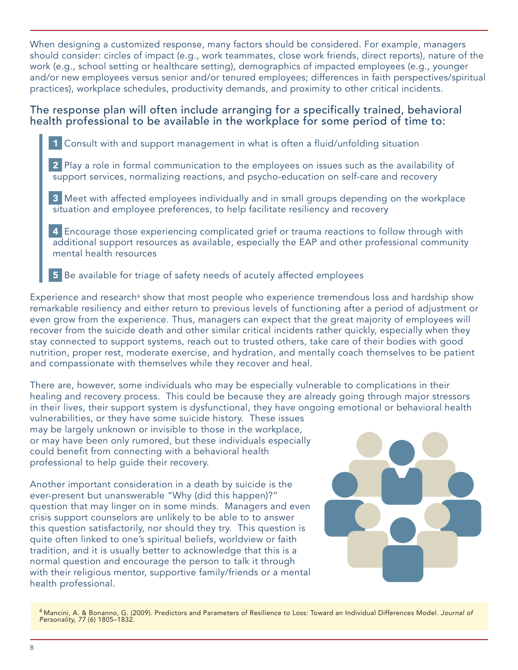When designing a customized response, many factors should be considered. For example, managers should consider: circles of impact (e.g., work teammates, close work friends, direct reports), nature of the work (e.g., school setting or healthcare setting), demographics of impacted employees (e.g., younger and/or new employees versus senior and/or tenured employees; differences in faith perspectives/spiritual practices), workplace schedules, productivity demands, and proximity to other critical incidents.

#### The response plan will often include arranging for a specifically trained, behavioral health professional to be available in the workplace for some period of time to:

1 Consult with and support management in what is often a fluid/unfolding situation

2 Play a role in formal communication to the employees on issues such as the availability of support services, normalizing reactions, and psycho-education on self-care and recovery

3 Meet with affected employees individually and in small groups depending on the workplace situation and employee preferences, to help facilitate resiliency and recovery

4 Encourage those experiencing complicated grief or trauma reactions to follow through with additional support resources as available, especially the EAP and other professional community mental health resources

5 Be available for triage of safety needs of acutely affected employees

Experience and research<sup>4</sup> show that most people who experience tremendous loss and hardship show remarkable resiliency and either return to previous levels of functioning after a period of adjustment or even grow from the experience. Thus, managers can expect that the great majority of employees will recover from the suicide death and other similar critical incidents rather quickly, especially when they stay connected to support systems, reach out to trusted others, take care of their bodies with good nutrition, proper rest, moderate exercise, and hydration, and mentally coach themselves to be patient and compassionate with themselves while they recover and heal.

There are, however, some individuals who may be especially vulnerable to complications in their healing and recovery process. This could be because they are already going through major stressors in their lives, their support system is dysfunctional, they have ongoing emotional or behavioral health

vulnerabilities, or they have some suicide history. These issues may be largely unknown or invisible to those in the workplace, or may have been only rumored, but these individuals especially could benefit from connecting with a behavioral health professional to help guide their recovery.

Another important consideration in a death by suicide is the ever-present but unanswerable "Why (did this happen)?" question that may linger on in some minds. Managers and even crisis support counselors are unlikely to be able to to answer this question satisfactorily, nor should they try. This question is quite often linked to one's spiritual beliefs, worldview or faith tradition, and it is usually better to acknowledge that this is a normal question and encourage the person to talk it through with their religious mentor, supportive family/friends or a mental health professional.



<sup>&</sup>lt;sup>4</sup> Mancini, A. & Bonanno, G. (2009). Predictors and Parameters of Resilience to Loss: Toward an Individual Differences Model. Journal of Personality, 77 (6) 1805–1832.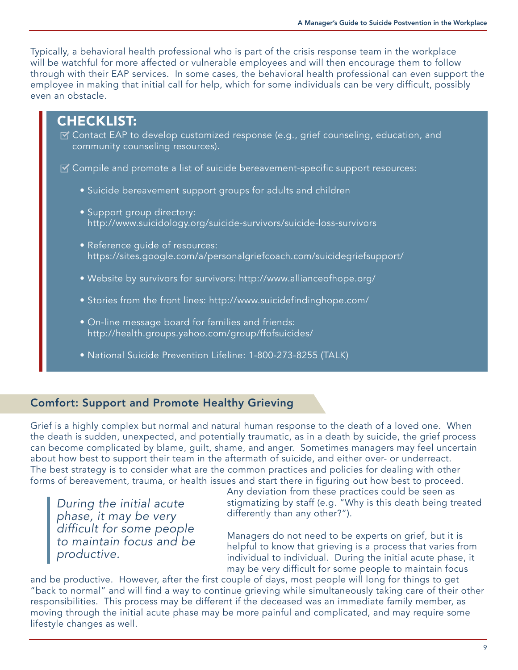Typically, a behavioral health professional who is part of the crisis response team in the workplace will be watchful for more affected or vulnerable employees and will then encourage them to follow through with their EAP services. In some cases, the behavioral health professional can even support the employee in making that initial call for help, which for some individuals can be very difficult, possibly even an obstacle.



#### Comfort: Support and Promote Healthy Grieving

Grief is a highly complex but normal and natural human response to the death of a loved one. When the death is sudden, unexpected, and potentially traumatic, as in a death by suicide, the grief process can become complicated by blame, guilt, shame, and anger. Sometimes managers may feel uncertain about how best to support their team in the aftermath of suicide, and either over- or underreact. The best strategy is to consider what are the common practices and policies for dealing with other forms of bereavement, trauma, or health issues and start there in figuring out how best to proceed.

During the initial acute phase, it may be very difficult for some people to maintain focus and be productive.

Any deviation from these practices could be seen as stigmatizing by staff (e.g. "Why is this death being treated differently than any other?").

Managers do not need to be experts on grief, but it is helpful to know that grieving is a process that varies from individual to individual. During the initial acute phase, it may be very difficult for some people to maintain focus

and be productive. However, after the first couple of days, most people will long for things to get "back to normal" and will find a way to continue grieving while simultaneously taking care of their other responsibilities. This process may be different if the deceased was an immediate family member, as moving through the initial acute phase may be more painful and complicated, and may require some lifestyle changes as well.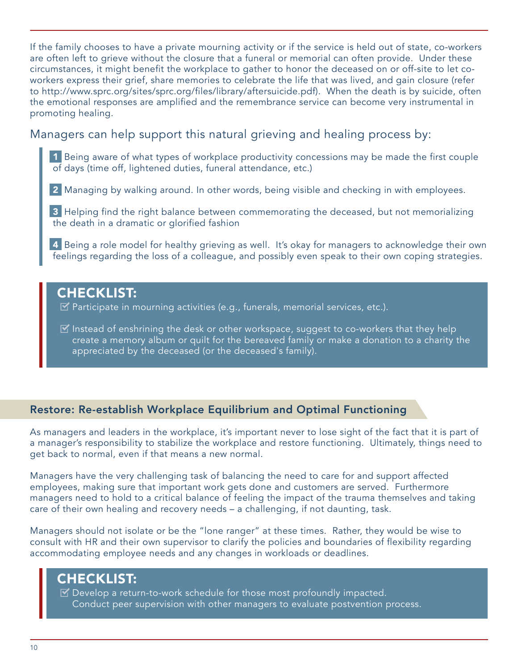If the family chooses to have a private mourning activity or if the service is held out of state, co-workers are often left to grieve without the closure that a funeral or memorial can often provide. Under these circumstances, it might benefit the workplace to gather to honor the deceased on or off-site to let coworkers express their grief, share memories to celebrate the life that was lived, and gain closure (refer to http://www.sprc.org/sites/sprc.org/files/library/aftersuicide.pdf). When the death is by suicide, often the emotional responses are amplified and the remembrance service can become very instrumental in promoting healing.

### Managers can help support this natural grieving and healing process by:

1 Being aware of what types of workplace productivity concessions may be made the first couple of days (time off, lightened duties, funeral attendance, etc.)

2 Managing by walking around. In other words, being visible and checking in with employees.

3 Helping find the right balance between commemorating the deceased, but not memorializing the death in a dramatic or glorified fashion

4 Being a role model for healthy grieving as well. It's okay for managers to acknowledge their own feelings regarding the loss of a colleague, and possibly even speak to their own coping strategies.

# CHECKLIST:

 $\triangleright$  Participate in mourning activities (e.g., funerals, memorial services, etc.).

 $\blacksquare$  Instead of enshrining the desk or other workspace, suggest to co-workers that they help create a memory album or quilt for the bereaved family or make a donation to a charity the appreciated by the deceased (or the deceased's family).

### Restore: Re-establish Workplace Equilibrium and Optimal Functioning

As managers and leaders in the workplace, it's important never to lose sight of the fact that it is part of a manager's responsibility to stabilize the workplace and restore functioning. Ultimately, things need to get back to normal, even if that means a new normal.

Managers have the very challenging task of balancing the need to care for and support affected employees, making sure that important work gets done and customers are served. Furthermore managers need to hold to a critical balance of feeling the impact of the trauma themselves and taking care of their own healing and recovery needs – a challenging, if not daunting, task.

Managers should not isolate or be the "lone ranger" at these times. Rather, they would be wise to consult with HR and their own supervisor to clarify the policies and boundaries of flexibility regarding accommodating employee needs and any changes in workloads or deadlines.

# CHECKLIST:

 $\mathbb Z$  Develop a return-to-work schedule for those most profoundly impacted. Conduct peer supervision with other managers to evaluate postvention process.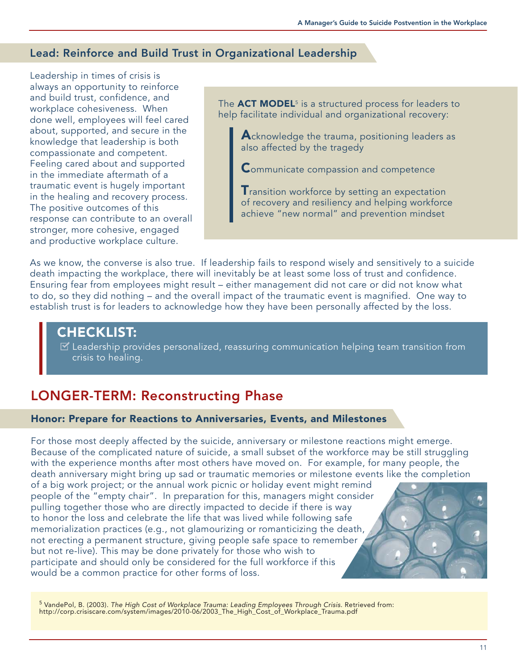#### Lead: Reinforce and Build Trust in Organizational Leadership

Leadership in times of crisis is always an opportunity to reinforce and build trust, confidence, and workplace cohesiveness. When done well, employees will feel cared about, supported, and secure in the knowledge that leadership is both compassionate and competent. Feeling cared about and supported in the immediate aftermath of a traumatic event is hugely important in the healing and recovery process. The positive outcomes of this response can contribute to an overall stronger, more cohesive, engaged and productive workplace culture.

The ACT MODEL<sup>5</sup> is a structured process for leaders to help facilitate individual and organizational recovery:

Acknowledge the trauma, positioning leaders as also affected by the tragedy

**Communicate compassion and competence** 

 $\mathsf T$ ransition workforce by setting an expectation of recovery and resiliency and helping workforce achieve "new normal" and prevention mindset

As we know, the converse is also true. If leadership fails to respond wisely and sensitively to a suicide death impacting the workplace, there will inevitably be at least some loss of trust and confidence. Ensuring fear from employees might result – either management did not care or did not know what to do, so they did nothing – and the overall impact of the traumatic event is magnified. One way to establish trust is for leaders to acknowledge how they have been personally affected by the loss.

### CHECKLIST:

 $\blacktriangleright$  Leadership provides personalized, reassuring communication helping team transition from crisis to healing.

# LONGER-TERM: Reconstructing Phase

#### Honor: Prepare for Reactions to Anniversaries, Events, and Milestones

For those most deeply affected by the suicide, anniversary or milestone reactions might emerge. Because of the complicated nature of suicide, a small subset of the workforce may be still struggling with the experience months after most others have moved on. For example, for many people, the death anniversary might bring up sad or traumatic memories or milestone events like the completion of a big work project; or the annual work picnic or holiday event might remind people of the "empty chair". In preparation for this, managers might consider pulling together those who are directly impacted to decide if there is way to honor the loss and celebrate the life that was lived while following safe memorialization practices (e.g., not glamourizing or romanticizing the death, not erecting a permanent structure, giving people safe space to remember but not re-live). This may be done privately for those who wish to participate and should only be considered for the full workforce if this would be a common practice for other forms of loss.

<sup>5</sup> VandePol, B. (2003). The High Cost of Workplace Trauma: Leading Employees Through Crisis. Retrieved from: http://corp.crisiscare.com/system/images/2010-06/2003\_The\_High\_Cost\_of\_Workplace\_Trauma.pdf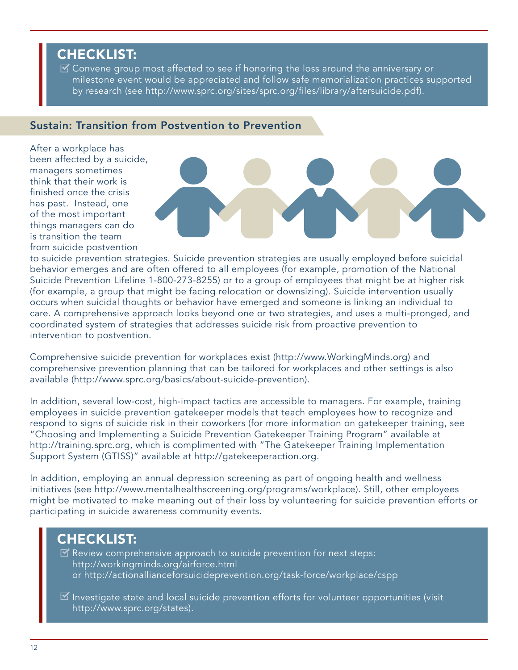# CHECKLIST:

 $\mathbb Z$  Convene group most affected to see if honoring the loss around the anniversary or milestone event would be appreciated and follow safe memorialization practices supported by research (see http://www.sprc.org/sites/sprc.org/files/library/aftersuicide.pdf).

#### Sustain: Transition from Postvention to Prevention

After a workplace has been affected by a suicide, managers sometimes think that their work is finished once the crisis has past. Instead, one of the most important things managers can do is transition the team from suicide postvention



to suicide prevention strategies. Suicide prevention strategies are usually employed before suicidal behavior emerges and are often offered to all employees (for example, promotion of the National Suicide Prevention Lifeline 1-800-273-8255) or to a group of employees that might be at higher risk (for example, a group that might be facing relocation or downsizing). Suicide intervention usually occurs when suicidal thoughts or behavior have emerged and someone is linking an individual to care. A comprehensive approach looks beyond one or two strategies, and uses a multi-pronged, and coordinated system of strategies that addresses suicide risk from proactive prevention to intervention to postvention.

Comprehensive suicide prevention for workplaces exist (http://www.WorkingMinds.org) and comprehensive prevention planning that can be tailored for workplaces and other settings is also available (http://www.sprc.org/basics/about-suicide-prevention).

In addition, several low-cost, high-impact tactics are accessible to managers. For example, training employees in suicide prevention gatekeeper models that teach employees how to recognize and respond to signs of suicide risk in their coworkers (for more information on gatekeeper training, see "Choosing and Implementing a Suicide Prevention Gatekeeper Training Program" available at http://training.sprc.org, which is complimented with "The Gatekeeper Training Implementation Support System (GTISS)" available at http://gatekeeperaction.org.

In addition, employing an annual depression screening as part of ongoing health and wellness initiatives (see http://www.mentalhealthscreening.org/programs/workplace). Still, other employees might be motivated to make meaning out of their loss by volunteering for suicide prevention efforts or participating in suicide awareness community events.

# CHECKLIST:

- Review comprehensive approach to suicide prevention for next steps: http://workingminds.org/airforce.html or http://actionallianceforsuicideprevention.org/task-force/workplace/cspp
- $\blacksquare$  Investigate state and local suicide prevention efforts for volunteer opportunities (visit http://www.sprc.org/states).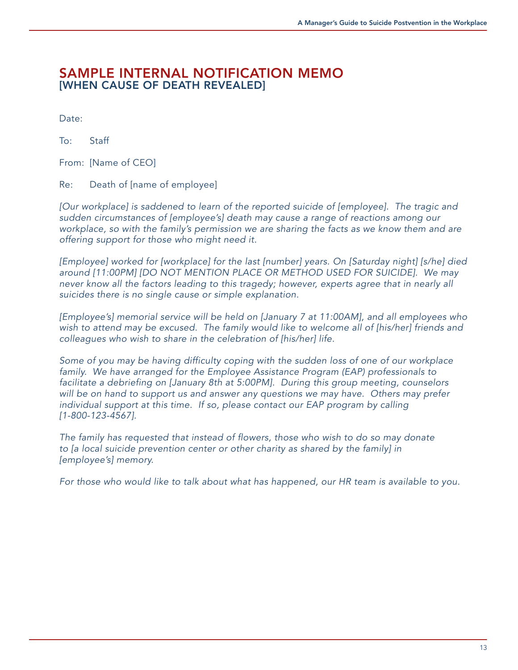### SAMPLE INTERNAL NOTIFICATION MEMO [WHEN CAUSE OF DEATH REVEALED]

Date:

To: Staff

From: [Name of CEO]

Re: Death of [name of employee]

[Our workplace] is saddened to learn of the reported suicide of [employee]. The tragic and sudden circumstances of [employee's] death may cause a range of reactions among our workplace, so with the family's permission we are sharing the facts as we know them and are offering support for those who might need it.

[Employee] worked for [workplace] for the last [number] years. On [Saturday night] [s/he] died around [11:00PM] [DO NOT MENTION PLACE OR METHOD USED FOR SUICIDE]. We may never know all the factors leading to this tragedy; however, experts agree that in nearly all suicides there is no single cause or simple explanation.

[Employee's] memorial service will be held on [January 7 at 11:00AM], and all employees who wish to attend may be excused. The family would like to welcome all of [his/her] friends and colleagues who wish to share in the celebration of [his/her] life.

Some of you may be having difficulty coping with the sudden loss of one of our workplace family. We have arranged for the Employee Assistance Program (EAP) professionals to facilitate a debriefing on [January 8th at 5:00PM]. During this group meeting, counselors will be on hand to support us and answer any questions we may have. Others may prefer individual support at this time. If so, please contact our EAP program by calling [1-800-123-4567].

The family has requested that instead of flowers, those who wish to do so may donate to [a local suicide prevention center or other charity as shared by the family] in [employee's] memory.

For those who would like to talk about what has happened, our HR team is available to you.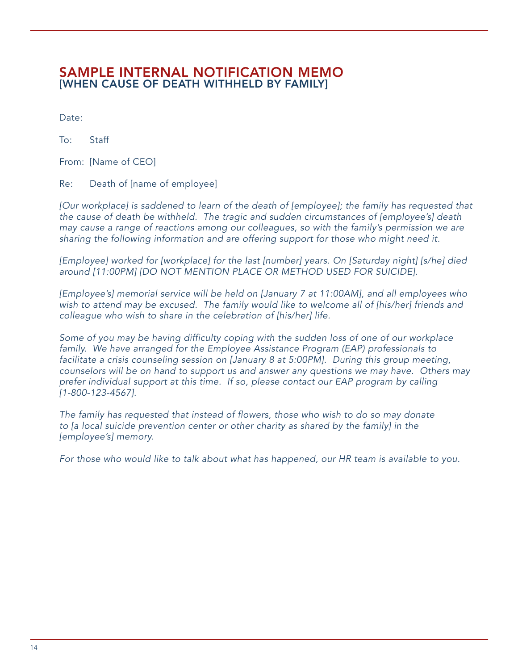### SAMPLE INTERNAL NOTIFICATION MEMO [WHEN CAUSE OF DEATH WITHHELD BY FAMILY]

Date:

To: Staff

From: [Name of CEO]

Re: Death of [name of employee]

[Our workplace] is saddened to learn of the death of [employee]; the family has requested that the cause of death be withheld. The tragic and sudden circumstances of [employee's] death may cause a range of reactions among our colleagues, so with the family's permission we are sharing the following information and are offering support for those who might need it.

[Employee] worked for [workplace] for the last [number] years. On [Saturday night] [s/he] died around [11:00PM] [DO NOT MENTION PLACE OR METHOD USED FOR SUICIDE].

[Employee's] memorial service will be held on [January 7 at 11:00AM], and all employees who wish to attend may be excused. The family would like to welcome all of [his/her] friends and colleague who wish to share in the celebration of [his/her] life.

Some of you may be having difficulty coping with the sudden loss of one of our workplace family. We have arranged for the Employee Assistance Program (EAP) professionals to facilitate a crisis counseling session on [January 8 at 5:00PM]. During this group meeting, counselors will be on hand to support us and answer any questions we may have. Others may prefer individual support at this time. If so, please contact our EAP program by calling [1-800-123-4567].

The family has requested that instead of flowers, those who wish to do so may donate to [a local suicide prevention center or other charity as shared by the family] in the [employee's] memory.

For those who would like to talk about what has happened, our HR team is available to you.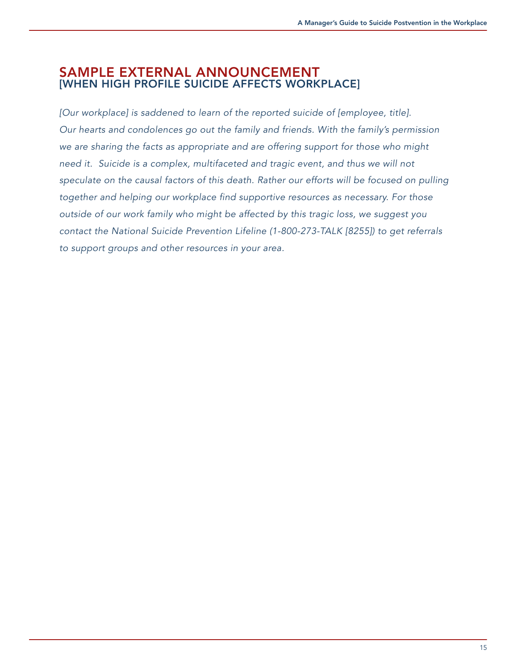### SAMPLE EXTERNAL ANNOUNCEMENT [WHEN HIGH PROFILE SUICIDE AFFECTS WORKPLACE]

[Our workplace] is saddened to learn of the reported suicide of [employee, title]. Our hearts and condolences go out the family and friends. With the family's permission we are sharing the facts as appropriate and are offering support for those who might need it. Suicide is a complex, multifaceted and tragic event, and thus we will not speculate on the causal factors of this death. Rather our efforts will be focused on pulling together and helping our workplace find supportive resources as necessary. For those outside of our work family who might be affected by this tragic loss, we suggest you contact the National Suicide Prevention Lifeline (1-800-273-TALK [8255]) to get referrals to support groups and other resources in your area.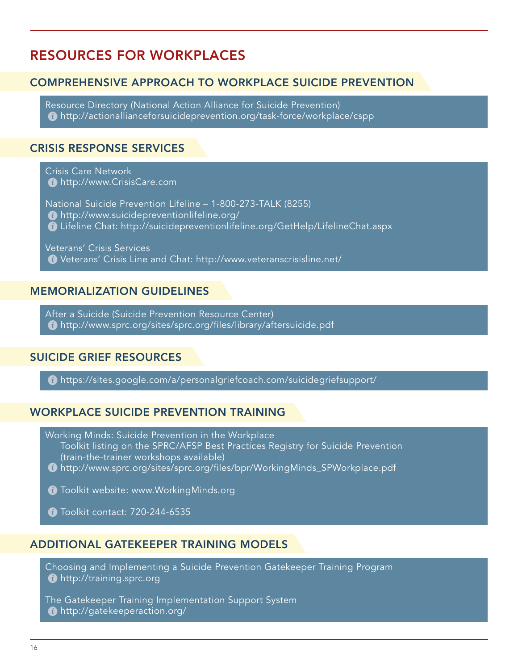# RESOURCES FOR WORKPLACES

### COMPREHENSIVE APPROACH TO WORKPLACE SUICIDE PREVENTION

Resource Directory (National Action Alliance for Suicide Prevention) http://actionallianceforsuicideprevention.org/task-force/workplace/cspp

#### CRISIS RESPONSE SERVICES

Crisis Care Network **http://www.CrisisCare.com** 

National Suicide Prevention Lifeline – 1-800-273-TALK (8255) http://www.suicidepreventionlifeline.org/ Lifeline Chat: http://suicidepreventionlifeline.org/GetHelp/LifelineChat.aspx

Veterans' Crisis Services Veterans' Crisis Line and Chat: http://www.veteranscrisisline.net/

#### MEMORIALIZATION GUIDELINES

After a Suicide (Suicide Prevention Resource Center) http://www.sprc.org/sites/sprc.org/files/library/aftersuicide.pdf

#### SUICIDE GRIEF RESOURCES

https://sites.google.com/a/personalgriefcoach.com/suicidegriefsupport/

#### WORKPLACE SUICIDE PREVENTION TRAINING

Working Minds: Suicide Prevention in the Workplace Toolkit listing on the SPRC/AFSP Best Practices Registry for Suicide Prevention (train-the-trainer workshops available)

http://www.sprc.org/sites/sprc.org/files/bpr/WorkingMinds\_SPWorkplace.pdf

**Toolkit website: www.WorkingMinds.org** 

**Toolkit contact: 720-244-6535** 

#### ADDITIONAL GATEKEEPER TRAINING MODELS

Choosing and Implementing a Suicide Prevention Gatekeeper Training Program **http://training.sprc.org** 

The Gatekeeper Training Implementation Support System http://gatekeeperaction.org/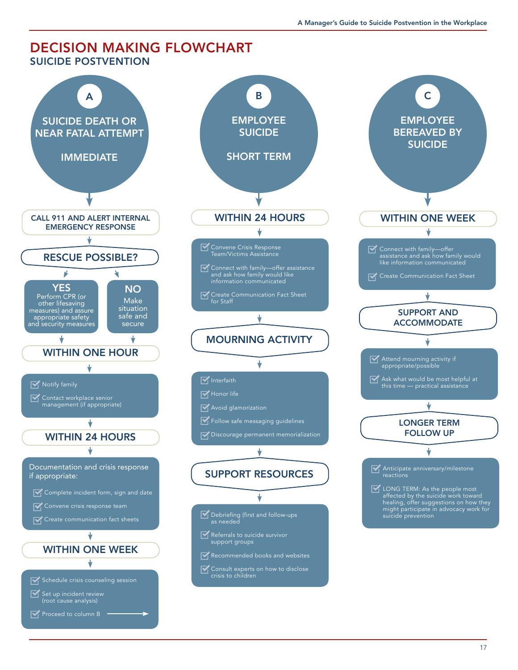#### DECISION MAKING FLOWCHART SUICIDE POSTVENTION



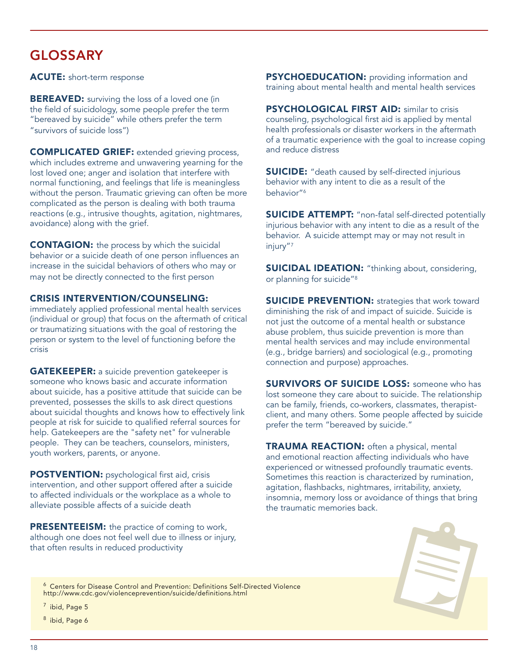# GLOSSARY

ACUTE: short-term response

**BEREAVED:** surviving the loss of a loved one (in the field of suicidology, some people prefer the term "bereaved by suicide" while others prefer the term "survivors of suicide loss")

COMPLICATED GRIEF: extended grieving process, which includes extreme and unwavering yearning for the lost loved one; anger and isolation that interfere with normal functioning, and feelings that life is meaningless without the person. Traumatic grieving can often be more complicated as the person is dealing with both trauma reactions (e.g., intrusive thoughts, agitation, nightmares, avoidance) along with the grief.

CONTAGION: the process by which the suicidal behavior or a suicide death of one person influences an increase in the suicidal behaviors of others who may or may not be directly connected to the first person

#### CRISIS INTERVENTION/COUNSELING:

immediately applied professional mental health services (individual or group) that focus on the aftermath of critical or traumatizing situations with the goal of restoring the person or system to the level of functioning before the crisis

**GATEKEEPER:** a suicide prevention gatekeeper is someone who knows basic and accurate information about suicide, has a positive attitude that suicide can be prevented, possesses the skills to ask direct questions about suicidal thoughts and knows how to effectively link people at risk for suicide to qualified referral sources for help. Gatekeepers are the "safety net" for vulnerable people. They can be teachers, counselors, ministers, youth workers, parents, or anyone.

POSTVENTION: psychological first aid, crisis intervention, and other support offered after a suicide to affected individuals or the workplace as a whole to alleviate possible affects of a suicide death

**PRESENTEEISM:** the practice of coming to work, although one does not feel well due to illness or injury, that often results in reduced productivity

**PSYCHOEDUCATION:** providing information and training about mental health and mental health services

PSYCHOLOGICAL FIRST AID: similar to crisis counseling, psychological first aid is applied by mental health professionals or disaster workers in the aftermath of a traumatic experience with the goal to increase coping and reduce distress

**SUICIDE:** "death caused by self-directed injurious behavior with any intent to die as a result of the behavior"<sup>6</sup>

**SUICIDE ATTEMPT:** "non-fatal self-directed potentially injurious behavior with any intent to die as a result of the behavior. A suicide attempt may or may not result in injury"<sup>7</sup>

**SUICIDAL IDEATION:** "thinking about, considering, or planning for suicide"<sup>8</sup>

**SUICIDE PREVENTION:** strategies that work toward diminishing the risk of and impact of suicide. Suicide is not just the outcome of a mental health or substance abuse problem, thus suicide prevention is more than mental health services and may include environmental (e.g., bridge barriers) and sociological (e.g., promoting connection and purpose) approaches.

**SURVIVORS OF SUICIDE LOSS:** someone who has lost someone they care about to suicide. The relationship can be family, friends, co-workers, classmates, therapistclient, and many others. Some people affected by suicide prefer the term "bereaved by suicide."

**TRAUMA REACTION:** often a physical, mental and emotional reaction affecting individuals who have experienced or witnessed profoundly traumatic events. Sometimes this reaction is characterized by rumination, agitation, flashbacks, nightmares, irritability, anxiety, insomnia, memory loss or avoidance of things that bring the traumatic memories back.



<sup>6</sup> Centers for Disease Control and Prevention: Definitions Self-Directed Violence http://www.cdc.gov/violenceprevention/suicide/definitions.html

 $<sup>7</sup>$  ibid, Page 5</sup>

<sup>8</sup> ibid, Page 6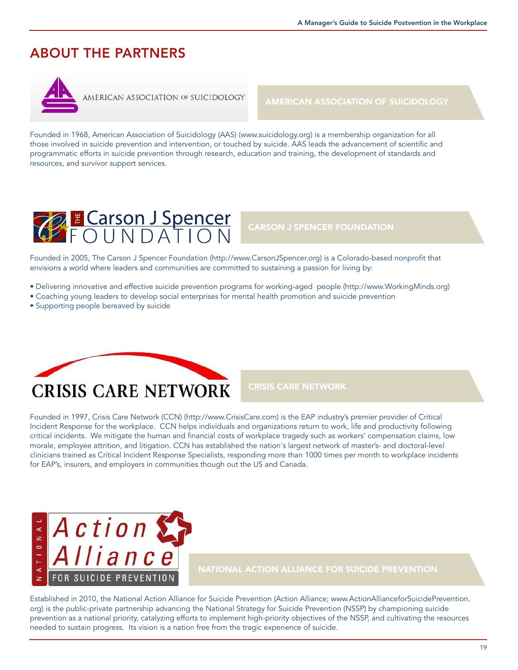# ABOUT THE PARTNERS



AMERICAN ASSOCIATION OF SUICIDOLOGY

AMERICAN ASSOCIATION OF SUICIDOLOGY

Founded in 1968, American Association of Suicidology (AAS) (www.suicidology.org) is a membership organization for all those involved in suicide prevention and intervention, or touched by suicide. AAS leads the advancement of scientific and programmatic efforts in suicide prevention through research, education and training, the development of standards and resources, and survivor support services.



#### CARSON J SPENCER FOUNDATION

Founded in 2005, The Carson J Spencer Foundation (http://www.CarsonJSpencer.org) is a Colorado-based nonprofit that envisions a world where leaders and communities are committed to sustaining a passion for living by:

- Delivering innovative and effective suicide prevention programs for working-aged people (http://www.WorkingMinds.org)
- Coaching young leaders to develop social enterprises for mental health promotion and suicide prevention
- Supporting people bereaved by suicide



#### CRISIS CARE NETWORK

Founded in 1997, Crisis Care Network (CCN) (http://www.CrisisCare.com) is the EAP industry's premier provider of Critical Incident Response for the workplace. CCN helps individuals and organizations return to work, life and productivity following critical incidents. We mitigate the human and financial costs of workplace tragedy such as workers' compensation claims, low morale, employee attrition, and litigation. CCN has established the nation's largest network of master's- and doctoral-level clinicians trained as Critical Incident Response Specialists, responding more than 1000 times per month to workplace incidents for EAP's, insurers, and employers in communities though out the US and Canada.



NATIONAL ACTION ALLIANCE FOR SUICIDE PREVENTION

Established in 2010, the National Action Alliance for Suicide Prevention (Action Alliance; www.ActionAllianceforSuicidePrevention. org) is the public-private partnership advancing the National Strategy for Suicide Prevention (NSSP) by championing suicide prevention as a national priority, catalyzing efforts to implement high-priority objectives of the NSSP, and cultivating the resources needed to sustain progress. Its vision is a nation free from the tragic experience of suicide.